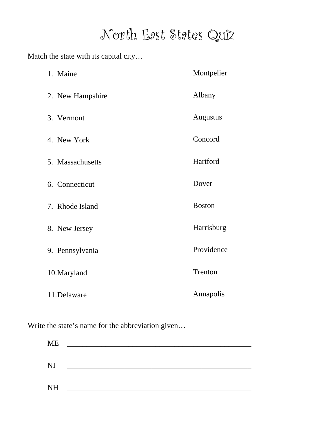# North East States Quiz

Match the state with its capital city…

| 1. Maine         | Montpelier    |
|------------------|---------------|
| 2. New Hampshire | Albany        |
| 3. Vermont       | Augustus      |
| 4. New York      | Concord       |
| 5. Massachusetts | Hartford      |
| 6. Connecticut   | Dover         |
| 7. Rhode Island  | <b>Boston</b> |
| 8. New Jersey    | Harrisburg    |
| 9. Pennsylvania  | Providence    |
| 10. Maryland     | Trenton       |
| 11. Delaware     | Annapolis     |

| ME |  |  |
|----|--|--|
|    |  |  |
| NJ |  |  |
|    |  |  |
| NH |  |  |
|    |  |  |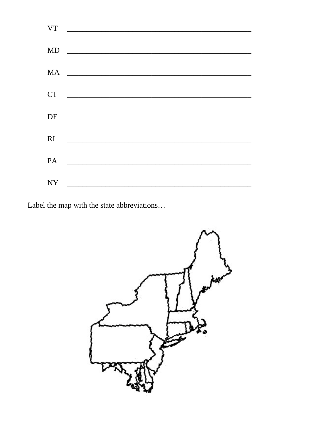|           | MD                                                                                                                   |
|-----------|----------------------------------------------------------------------------------------------------------------------|
|           |                                                                                                                      |
|           |                                                                                                                      |
|           |                                                                                                                      |
| <b>CT</b> | <u> 1990 - Johann Barbara, martin a</u>                                                                              |
| DE        | <u> 1980 - Jan Barnett, fransk politik (d. 1980)</u>                                                                 |
|           |                                                                                                                      |
| RI        | <u> 1980 - Jan Stein Stein Stein Stein Stein Stein Stein Stein Stein Stein Stein Stein Stein Stein Stein Stein S</u> |
|           |                                                                                                                      |
| <b>PA</b> | <u> 1980 - Jan Samuel Barbara, martin d</u>                                                                          |
|           |                                                                                                                      |
| NY        |                                                                                                                      |

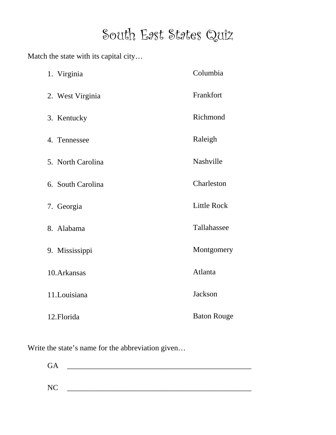### South East States Quiz

Match the state with its capital city…

| 1. Virginia       | Columbia           |
|-------------------|--------------------|
| 2. West Virginia  | Frankfort          |
| 3. Kentucky       | Richmond           |
| 4. Tennessee      | Raleigh            |
| 5. North Carolina | Nashville          |
| 6. South Carolina | Charleston         |
| 7. Georgia        | <b>Little Rock</b> |
| 8. Alabama        | Tallahassee        |
| 9. Mississippi    | Montgomery         |
| 10. Arkansas      | Atlanta            |
| 11.Louisiana      | Jackson            |
| 12. Florida       | <b>Baton Rouge</b> |

| GA        |  |  |
|-----------|--|--|
|           |  |  |
| <b>NC</b> |  |  |
|           |  |  |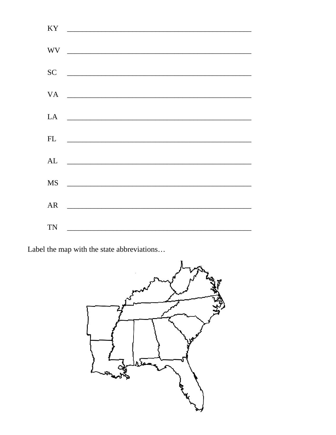|           | KY NOW CONSULTER THE CONSULTING OF THE CONSULTING OF THE CONSULTING OF THE CONSULTING OF THE CONSULTING OF THE CONSULTING OF THE CONSULTING OF THE CONSULTING OF THE CONSULTING OF THE CONSULTING OF THE CONSULTING OF THE CON |
|-----------|--------------------------------------------------------------------------------------------------------------------------------------------------------------------------------------------------------------------------------|
|           |                                                                                                                                                                                                                                |
| <b>SC</b> |                                                                                                                                                                                                                                |
|           |                                                                                                                                                                                                                                |
|           |                                                                                                                                                                                                                                |
|           |                                                                                                                                                                                                                                |
|           | AL LEADERS AND STRUCK AND THE STRUCK AND THE STRUCK AND THE STRUCK AND THE STRUCK AND THE STRUCK AND THE STRUCK AND THE STRUCK AND THE STRUCK AND THE STRUCK AND THE STRUCK AND THE STRUCK AND THE STRUCK AND THE STRUCK AND T |
| MS        |                                                                                                                                                                                                                                |
| AR        |                                                                                                                                                                                                                                |
| <b>TN</b> |                                                                                                                                                                                                                                |

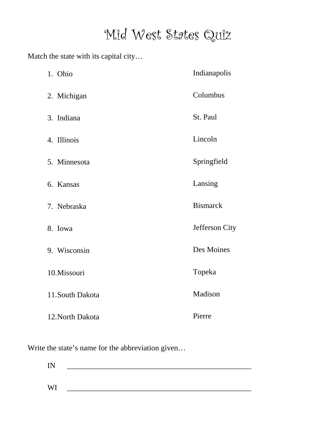#### Mid West States Quiz

Match the state with its capital city…

| 1. Ohio          | Indianapolis    |
|------------------|-----------------|
| 2. Michigan      | Columbus        |
| 3. Indiana       | St. Paul        |
| 4. Illinois      | Lincoln         |
| 5. Minnesota     | Springfield     |
| 6. Kansas        | Lansing         |
| 7. Nebraska      | <b>Bismarck</b> |
| 8. Iowa          | Jefferson City  |
| 9. Wisconsin     | Des Moines      |
| 10.Missouri      | Topeka          |
| 11. South Dakota | Madison         |
| 12. North Dakota | Pierre          |

| тъ<br>    |  |  |
|-----------|--|--|
|           |  |  |
| <b>WI</b> |  |  |
|           |  |  |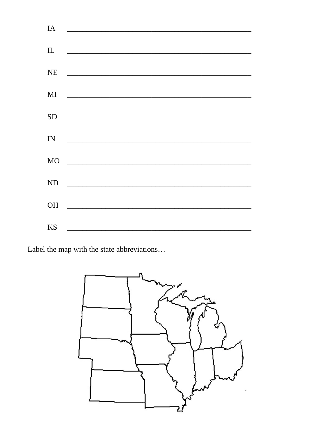| IA        |                                                                                                                                                                                                                                                                                                                                                                                   |
|-----------|-----------------------------------------------------------------------------------------------------------------------------------------------------------------------------------------------------------------------------------------------------------------------------------------------------------------------------------------------------------------------------------|
| IL        |                                                                                                                                                                                                                                                                                                                                                                                   |
| <b>NE</b> |                                                                                                                                                                                                                                                                                                                                                                                   |
| MI        |                                                                                                                                                                                                                                                                                                                                                                                   |
| <b>SD</b> |                                                                                                                                                                                                                                                                                                                                                                                   |
| IN        |                                                                                                                                                                                                                                                                                                                                                                                   |
|           | $\begin{picture}(150,10) \put(0,0){\dashbox{0.5}(10,0){ }} \put(150,0){\circle{10}} \put(150,0){\circle{10}} \put(150,0){\circle{10}} \put(150,0){\circle{10}} \put(150,0){\circle{10}} \put(150,0){\circle{10}} \put(150,0){\circle{10}} \put(150,0){\circle{10}} \put(150,0){\circle{10}} \put(150,0){\circle{10}} \put(150,0){\circle{10}} \put(150,0){\circle{10}} \put(150,$ |
|           |                                                                                                                                                                                                                                                                                                                                                                                   |
| <b>OH</b> |                                                                                                                                                                                                                                                                                                                                                                                   |
| <b>KS</b> |                                                                                                                                                                                                                                                                                                                                                                                   |

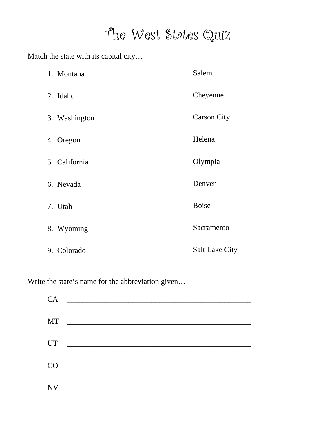# The West States Quiz

Match the state with its capital city…

| 1. Montana    | Salem                 |
|---------------|-----------------------|
| 2. Idaho      | Cheyenne              |
| 3. Washington | <b>Carson City</b>    |
| 4. Oregon     | Helena                |
| 5. California | Olympia               |
| 6. Nevada     | Denver                |
| 7. Utah       | <b>Boise</b>          |
| 8. Wyoming    | Sacramento            |
| 9. Colorado   | <b>Salt Lake City</b> |

| CA        |  |
|-----------|--|
| <b>MT</b> |  |
| <b>UT</b> |  |
| CO        |  |
| <b>NV</b> |  |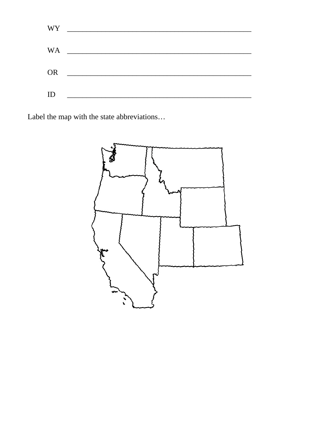| <b>WY</b> |                                                                                                                      |
|-----------|----------------------------------------------------------------------------------------------------------------------|
| <b>WA</b> | <u> 1980 - Jan James James Barbara, president de la propincia de la propincia de la propincia de la propincia de</u> |
| <b>OR</b> |                                                                                                                      |
| ID        |                                                                                                                      |

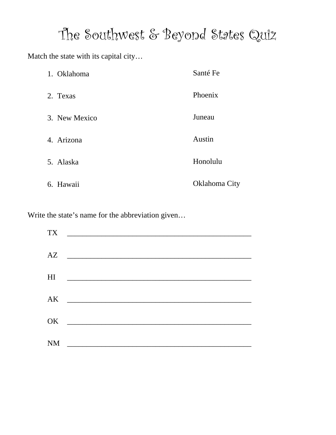### The Southwest & Beyond States Quiz

Match the state with its capital city…

| 1. Oklahoma   | Santé Fe      |
|---------------|---------------|
| 2. Texas      | Phoenix       |
| 3. New Mexico | Juneau        |
| 4. Arizona    | Austin        |
| 5. Alaska     | Honolulu      |
| 6. Hawaii     | Oklahoma City |

| TX             | <u> 1980 - Johann John Stein, fransk politik (</u> |
|----------------|----------------------------------------------------|
| AZ             |                                                    |
| H <sub>I</sub> | <u> 1980 - Johann Barbara, martxa alemaniar a</u>  |
| AK             |                                                    |
| OK             |                                                    |
| <b>NM</b>      |                                                    |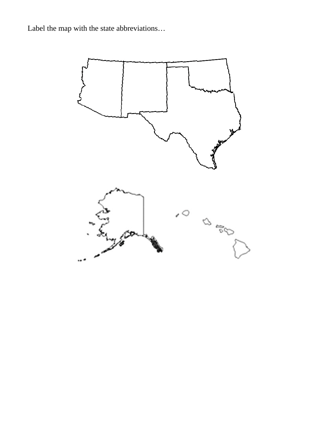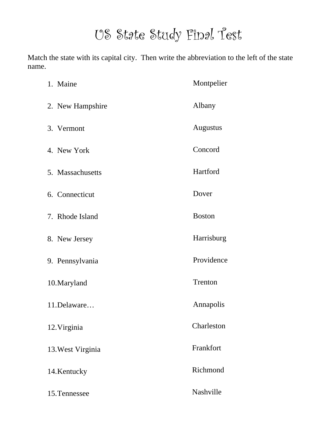# US State Study Final Test

Match the state with its capital city. Then write the abbreviation to the left of the state name.

| 1. Maine          | Montpelier      |
|-------------------|-----------------|
| 2. New Hampshire  | Albany          |
| 3. Vermont        | <b>Augustus</b> |
| 4. New York       | Concord         |
| 5. Massachusetts  | Hartford        |
| 6. Connecticut    | Dover           |
| 7. Rhode Island   | <b>Boston</b>   |
| 8. New Jersey     | Harrisburg      |
| 9. Pennsylvania   | Providence      |
| 10. Maryland      | Trenton         |
| 11. Delaware      | Annapolis       |
| 12. Virginia      | Charleston      |
| 13. West Virginia | Frankfort       |
| 14. Kentucky      | Richmond        |
| 15. Tennessee     | Nashville       |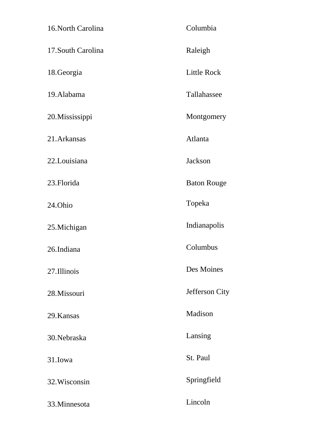| 16. North Carolina | Columbia           |
|--------------------|--------------------|
| 17. South Carolina | Raleigh            |
| 18. Georgia        | <b>Little Rock</b> |
| 19. Alabama        | Tallahassee        |
| 20. Mississippi    | Montgomery         |
| 21. Arkansas       | Atlanta            |
| 22.Louisiana       | <b>Jackson</b>     |
| 23. Florida        | <b>Baton Rouge</b> |
| 24.Ohio            | Topeka             |
| 25. Michigan       | Indianapolis       |
| 26.Indiana         | Columbus           |
| 27.Illinois        | Des Moines         |
| 28. Missouri       | Jefferson City     |
| 29. Kansas         | Madison            |
| 30. Nebraska       | Lansing            |
| 31.Iowa            | St. Paul           |
| 32. Wisconsin      | Springfield        |
| 33. Minnesota      | Lincoln            |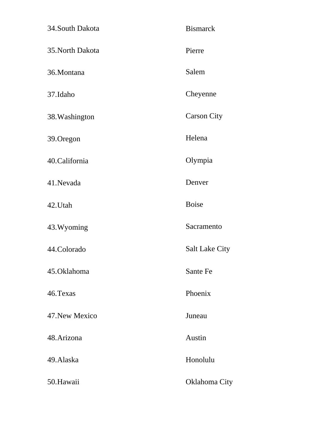| 34. South Dakota | <b>Bismarck</b>       |
|------------------|-----------------------|
| 35. North Dakota | Pierre                |
| 36.Montana       | Salem                 |
| 37.Idaho         | Cheyenne              |
| 38. Washington   | <b>Carson City</b>    |
| 39.Oregon        | Helena                |
| 40.California    | Olympia               |
| 41. Nevada       | Denver                |
| 42. Utah         | <b>Boise</b>          |
| 43. Wyoming      | Sacramento            |
| 44.Colorado      | <b>Salt Lake City</b> |
| 45.Oklahoma      | Sante Fe              |
| 46. Texas        | Phoenix               |
| 47. New Mexico   | Juneau                |
| 48. Arizona      | Austin                |
| 49. Alaska       | Honolulu              |
| 50. Hawaii       | Oklahoma City         |